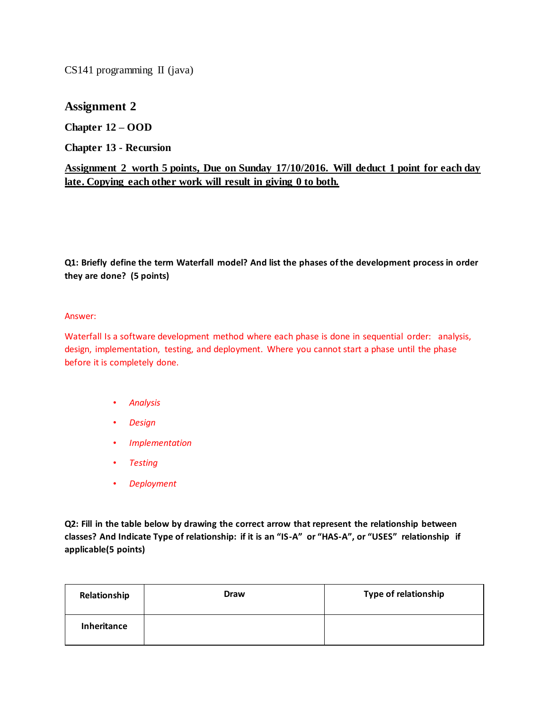CS141 programming II (java)

## **Assignment 2**

**Chapter 12 – OOD**

**Chapter 13 - Recursion**

## **Assignment 2 worth 5 points, Due on Sunday 17/10/2016. Will deduct 1 point for each day late. Copying each other work will result in giving 0 to both.**

**Q1: Briefly define the term Waterfall model? And list the phases of the development process in order they are done? (5 points)**

## Answer:

Waterfall Is a software development method where each phase is done in sequential order: analysis, design, implementation, testing, and deployment. Where you cannot start a phase until the phase before it is completely done.

- *Analysis*
- *Design*
- *Implementation*
- *Testing*
- *Deployment*

**Q2: Fill in the table below by drawing the correct arrow that represent the relationship between classes? And Indicate Type of relationship: if it is an "IS-A" or "HAS-A", or "USES" relationship if applicable(5 points)**

| Relationship | <b>Draw</b> | <b>Type of relationship</b> |
|--------------|-------------|-----------------------------|
| Inheritance  |             |                             |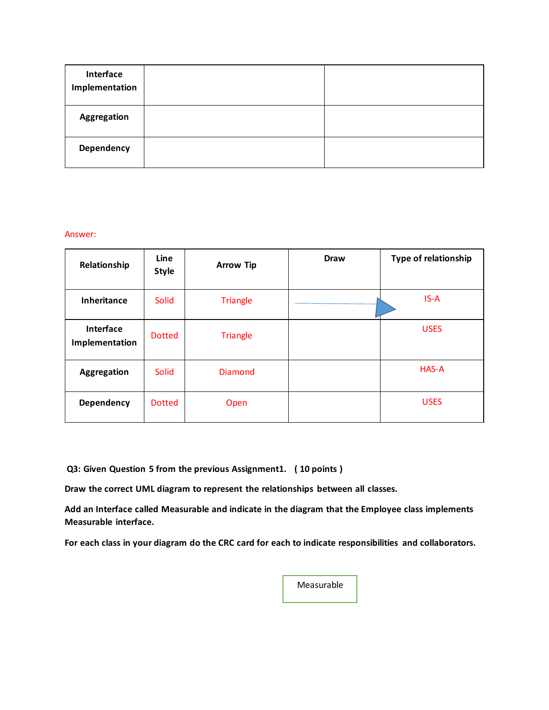| Interface<br>Implementation |  |
|-----------------------------|--|
| <b>Aggregation</b>          |  |
| Dependency                  |  |

## Answer:

| Relationship                | Line<br><b>Style</b> | <b>Arrow Tip</b> | <b>Draw</b> | Type of relationship |
|-----------------------------|----------------------|------------------|-------------|----------------------|
| <b>Inheritance</b>          | Solid                | <b>Triangle</b>  |             | $IS-A$               |
| Interface<br>Implementation | <b>Dotted</b>        | <b>Triangle</b>  |             | <b>USES</b>          |
| Aggregation                 | Solid                | Diamond          |             | HAS-A                |
| Dependency                  | <b>Dotted</b>        | Open             |             | <b>USES</b>          |

**Q3: Given Question 5 from the previous Assignment1. ( 10 points )**

**Draw the correct UML diagram to represent the relationships between all classes.**

**Add an Interface called Measurable and indicate in the diagram that the Employee class implements Measurable interface.**

**For each class in your diagram do the CRC card for each to indicate responsibilities and collaborators.**

Measurable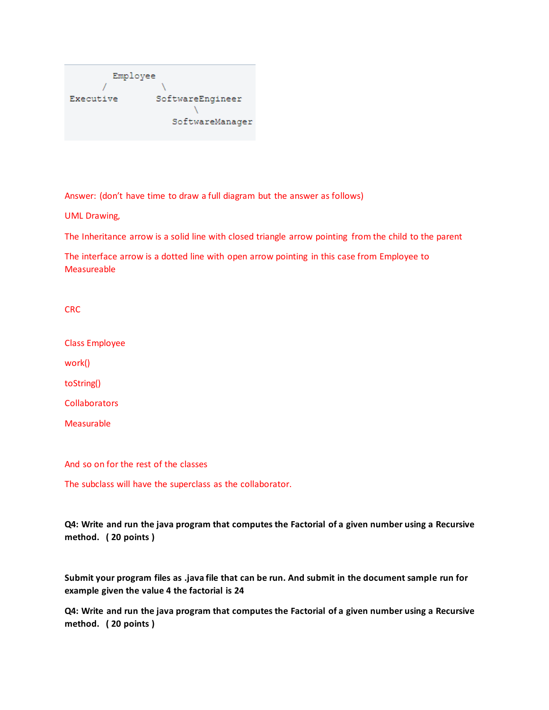| Employee  |                  |
|-----------|------------------|
|           |                  |
| Executive | SoftwareEngineer |
|           |                  |
|           | SoftwareManager  |
|           |                  |

Answer: (don't have time to draw a full diagram but the answer as follows)

UML Drawing,

The Inheritance arrow is a solid line with closed triangle arrow pointing from the child to the parent

The interface arrow is a dotted line with open arrow pointing in this case from Employee to Measureable

CRC

Class Employee

work()

toString()

**Collaborators** 

Measurable

And so on for the rest of the classes

The subclass will have the superclass as the collaborator.

**Q4: Write and run the java program that computes the Factorial of a given number using a Recursive method. ( 20 points )**

**Submit your program files as .java file that can be run. And submit in the document sample run for example given the value 4 the factorial is 24**

**Q4: Write and run the java program that computes the Factorial of a given number using a Recursive method. ( 20 points )**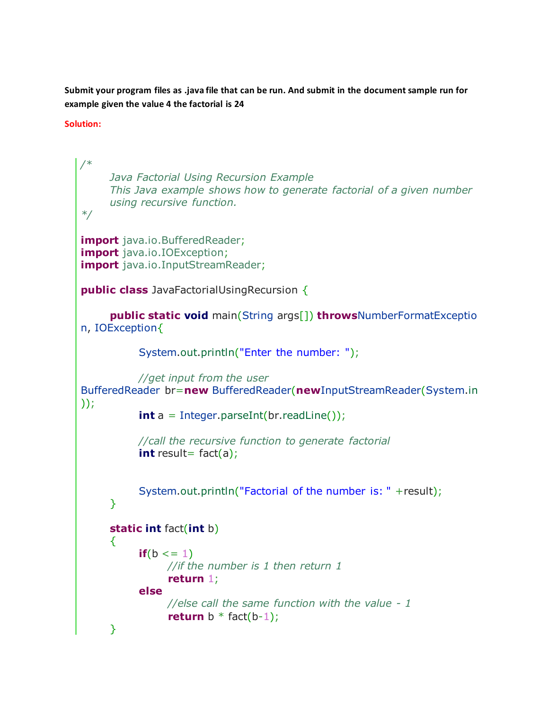**Submit your program files as .java file that can be run. And submit in the document sample run for example given the value 4 the factorial is 24**

**Solution:** 

```
/*
     Java Factorial Using Recursion Example
     This Java example shows how to generate factorial of a given number
     using recursive function.
*/
import java.io.BufferedReader;
import java.io.IOException;
import java.io.InputStreamReader;
public class JavaFactorialUsingRecursion {
      public static void main(String args[]) throwsNumberFormatExceptio
n, IOException{
            System.out.println("Enter the number: ");
            //get input from the user
BufferedReader br=new BufferedReader(newInputStreamReader(System.in
));
           int a = Integer.parseInt(br.readLine());
            //call the recursive function to generate factorial
           int result= fact(a);
            System.out.println("Factorial of the number is: " +result);
      }
      static int fact(int b)
      {
           if(b \leq = 1)
                 //if the number is 1 then return 1
                 return 1;
            else
                 //else call the same function with the value - 1
                return b * fact(b-1);
      }
```